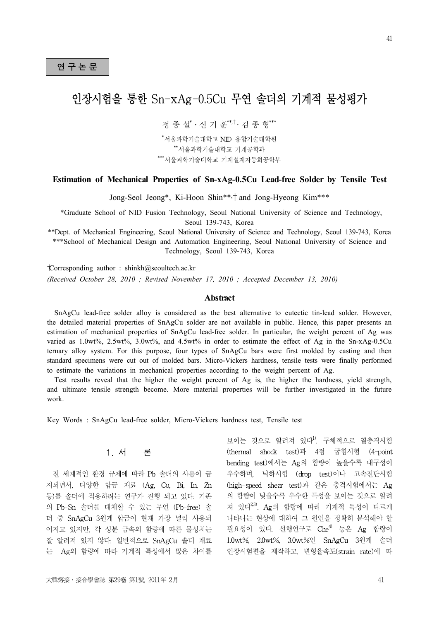# 연 구 논 문<br>연 구 논 문

# 인장시험을 통한 Sn-xAg-0.5Cu 무연 솔더의 기계적 물성평가

정 종 설\* · 신 기 훈<sup>\*\*,†</sup> · 김 종 형\*\*\*

\*서울과학기술대학교 NID 융합기술대학원 \*\*서울과학기술대학교 기계공학과 \*\*\*서울과학기술대학교 기계설계자동화공학부

#### **Estimation of Mechanical Properties of Sn-xAg-0.5Cu Lead-free Solder by Tensile Test**

Jong-Seol Jeong\*, Ki-Hoon Shin\*\*,† and Jong-Hyeong Kim\*\*\*

\*Graduate School of NID Fusion Technology, Seoul National University of Science and Technology, Seoul 139-743, Korea

\*\*Dept. of Mechanical Engineering, Seoul National University of Science and Technology, Seoul 139-743, Korea \*\*\*School of Mechanical Design and Automation Engineering, Seoul National University of Science and Technology, Seoul 139-743, Korea

 $\mathcal{L}$  corresponding author : shinkh@seoultech.ac.kr *(Received October 28, 2010 ; Revised November 17, 2010 ; Accepted December 13, 2010)*

#### **Abstract**

 SnAgCu lead-free solder alloy is considered as the best alternative to eutectic tin-lead solder. However, the detailed material properties of SnAgCu solder are not available in public. Hence, this paper presents an estimation of mechanical properties of SnAgCu lead-free solder. In particular, the weight percent of Ag was varied as 1.0wt%, 2.5wt%, 3.0wt%, and 4.5wt% in order to estimate the effect of Ag in the Sn-xAg-0.5Cu ternary alloy system. For this purpose, four types of SnAgCu bars were first molded by casting and then standard specimens were cut out of molded bars. Micro-Vickers hardness, tensile tests were finally performed to estimate the variations in mechanical properties according to the weight percent of Ag.

 Test results reveal that the higher the weight percent of Ag is, the higher the hardness, yield strength, and ultimate tensile strength become. More material properties will be further investigated in the future work.

Key Words : SnAgCu lead-free solder, Micro-Vickers hardness test, Tensile test

# 1. 서 론

전 세계적인 환경 규제에 따라 Pb 솔더의 사용이 금 지되면서, 다양한 합금 재료 (Ag, Cu, Bi, In, Zn 등)를 솔더에 적용하려는 연구가 진행 되고 있다. 기존 의 Pb-Sn 솔더를 대체할 수 있는 무연 (Pb-free) 솔 더 중 SnAgCu 3원계 합금이 현재 가장 널리 사용되 어지고 있지만, 각 성분 금속의 함량에 따른 물성치는 잘 알려져 있지 않다. 일반적으로 SnAgCu 솔더 재료 는 Ag의 함량에 따라 기계적 특성에서 많은 차이를

보이는 것으로 알려져 있다<sup>1)</sup>. 구체적으로 열충격시험 (thermal shock test)과 4점 굽힘시험 (4-point bending test)에서는 Ag의 함량이 높을수록 내구성이 우수하며, 낙하시험 (drop test)이나 고속전단시험 (high-speed shear test)과 같은 충격시험에서는 Ag 의 함량이 낮을수록 우수한 특성을 보이는 것으로 알려 져 있다<sup>2,3)</sup>. Ag의 함량에 따라 기계적 특성이 다르게 나타나는 현상에 대하여 그 원인을 정확히 분석해야 할 필요성이 있다. 선행연구로  $Che^{4}$  등은 Ag 함량이 1.0wt%, 2.0wt%, 3.0wt%인 SnAgCu 3원계 솔더 인장시험편을 제작하고, 변형율속도(strain rate)에 따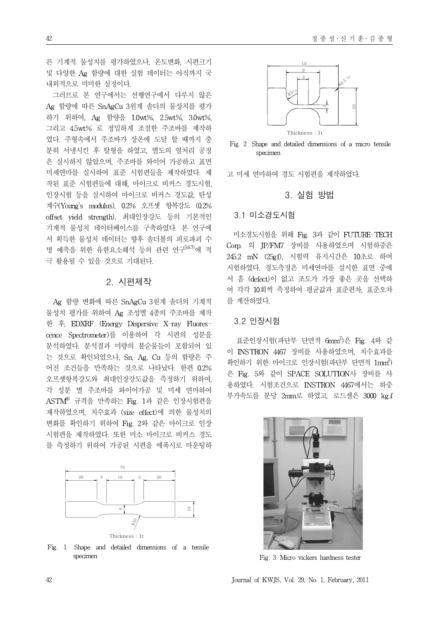른 기계적 물성치를 평가하였으나, 온도변화, 시편크기 및 다양한 Ag 함량에 대한 실험 데이터는 아직까지 국 내외적으로 미미한 실정이다.

그러므로 본 연구에서는 선행연구에서 다루지 않은 Ag 함량에 따른 SnAgCu 3원계 솔더의 물성치를 평가 하기 위하여, Ag 함량을 1.0wt%, 2.5wt%, 3.0wt%, 그리고 4.5wt% 로 정밀하게 조절한 주조바를 제작하 였다. 주형속에서 주조바가 상온에 도달 할 때까지 충 분히 서냉시킨 후 탈형을 하였고, 별도의 열처리 공정 은 실시하지 않았으며, 주조바를 와이어 가공하고 표면 미세연마를 실시하여 표준 시험편들을 제작하였다. 제 작된 표준 시험편들에 대해, 마이크로 비커스 경도시험, 인장시험 등을 실시하여 마이크로 비커스 경도값, 탄성 계수(Young's modulus), 0.2% 오프셋 항복강도 (0.2% offset yield strength), 최대인장강도 등의 기본적인 기계적 물성치 데이터베이스를 구축하였다. 본 연구에 서 획득한 물성치 데이터는 향후 솔더볼의 피로파괴 수 명 예측을 위한 유한요소해석 등의 관련 연구<sup>5,6,7)</sup>에 적 극 활용될 수 있을 것으로 기대된다.

#### 2. 시편제작

Ag 함량 변화에 따른 SnAgCu 3원계 솔더의 기계적 물성치 평가를 위하여 Ag 조성별 4종의 주조바를 제작 한 후, EDXRF (Energy Dispersive X-ray Fluorescence Spectrometer)를 이용하여 각 시편의 성분을 분석하였다. 분석결과 미량의 불순물들이 포함되어 있 는 것으로 확인되었으나, Sn, Ag, Cu 등의 함량은 주 어진 조건들을 만족하는 것으로 나타났다. 한편 0.2% 오프셋항복강도와 최대인장강도값을 측정하기 위하여, 각 성분 별 주조바를 와이어가공 및 미세 연마하여 ASTM<sup>8)</sup> 규격을 만족하는 Fig. 1과 같은 인장시험편을 제작하였으며, 치수효과 (size effect)에 의한 물성치의 변화를 확인하기 위하여 Fig. 2와 같은 마이크로 인장 시험편을 제작하였다. 또한 미소 마이크로 비커스 경도 를 측정하기 위하여 가공된 시편을 에폭시로 마운팅하



Thickness : 1t

Fig. 1 Shape and detailed dimensions of a tensile specimen



Fig. 2 Shape and detailed dimensions of a micro tensile specimen

고 미세 연마하여 경도 시험편을 제작하였다.

### 3. 실험 방법

#### 3.1 미소경도시험

미소경도시험을 위해 Fig. 3과 같이 FUTURE-TECH Corp. 의 JP/FM7 장비를 사용하였으며 시험하중은 245.2 mN (25gf), 시험력 유지시간은 10초로 하여 시험하였다. 경도측정은 미세연마를 실시한 표면 중에 서 흠 (defect)이 없고 조도가 가장 좋은 곳을 선택하 여 각각 10회씩 측정하여 평균값과 표준편차, 표준오차 를 계산하였다.

#### 3.2 인장시험

표준인장시험(파단부 단면적 6mm<sup>2</sup>)은 Fig. 4와 같 이 INSTRON 4467 장비를 사용하였으며, 치수효과를 확인하기 위한 마이크로 인장시험(파단부 단면적 1mm<sup>2</sup>) 은 Fig. 5와 같이 SPACE SOLUTION사 장비를 사 용하였다. 시험조건으로 INSTRON 4467에서는 하중 부가속도를 분당 2mm로 하였고, 로드셀은 3000 kg.f



Fig. 3 Micro vickers hardness tester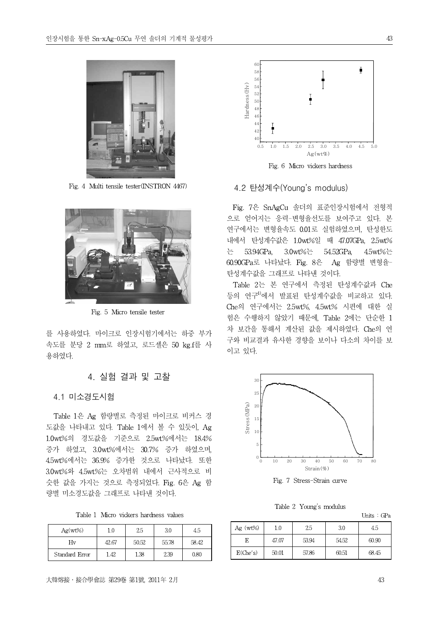

Fig. 4 Multi tensile tester(INSTRON 4467)



Fig. 5 Micro tensile tester

를 사용하였다. 마이크로 인장시험기에서는 하중 부가 속도를 분당 2 mm로 하였고, 로드셀은 50 kg.f를 사 용하였다.

#### 4. 실험 결과 및 고찰

#### 4.1 미소경도시험

Table 1은 Ag 함량별로 측정된 마이크로 비커스 경 도값을 나타내고 있다. Table 1에서 볼 수 있듯이, Ag 1.0wt%의 경도값을 기준으로 2.5wt%에서는 18.4% 증가 하였고, 3.0wt%에서는 30.7% 증가 하였으며, 4.5wt%에서는 36.9% 증가한 것으로 나타났다. 또한 3.0wt%와 4.5wt%는 오차범위 내에서 근사적으로 비 슷한 값을 가지는 것으로 측정되었다. Fig. 6은 Ag 함 량별 미소경도값을 그래프로 나타낸 것이다.

Table 1 Micro vickers hardness values

| $Ag(wt\%)$     |       | 2.5   | 3.0   | 4.5   |
|----------------|-------|-------|-------|-------|
| Hv             | 42.67 | 50.52 | 55.78 | 58.42 |
| Standard Error | 1.42  | 1.38  | 2.39  | 0.80  |





Fig. 6 Micro vickers hardness

#### 4.2 탄성계수(Young's modulus)

Fig. 7은 SnAgCu 솔더의 표준인장시험에서 전형적 으로 얻어지는 응력-변형율선도를 보여주고 있다. 본 연구에서는 변형율속도 0.01로 실험하였으며, 탄성한도 내에서 탄성계수값은 1.0wt%일 때 47.07GPa, 2.5wt% 는 53.94GPa, 3.0wt%는 54.52GPa, 4.5wt%는 60.90GPa로 나타났다. Fig. 8은 Ag 함량별 변형율-탄성계수값을 그래프로 나타낸 것이다.

Table 2는 본 연구에서 측정된 탄성계수값과 Che 등의 연구4)에서 발표된 탄성계수값을 비교하고 있다. Che의 연구에서는 2.5wt%, 4.5wt% 시편에 대한 실 험은 수행하지 않았기 때문에, Table 2에는 단순한 1 차 보간을 통해서 계산된 값을 제시하였다. Che의 연 구와 비교결과 유사한 경향을 보이나 다소의 차이를 보 이고 있다.



Fig. 7 Stress-Strain curve

Table 2 Young's modulus

Units : GPa

| Ag $(wt\%)$ | 1.0   | 2.5   | 3.0   | 4.5   |  |
|-------------|-------|-------|-------|-------|--|
| Е           | 47.07 | 53.94 | 54.52 | 60.90 |  |
| E(Che's)    | 50.01 | 57.86 | 60.51 | 68.45 |  |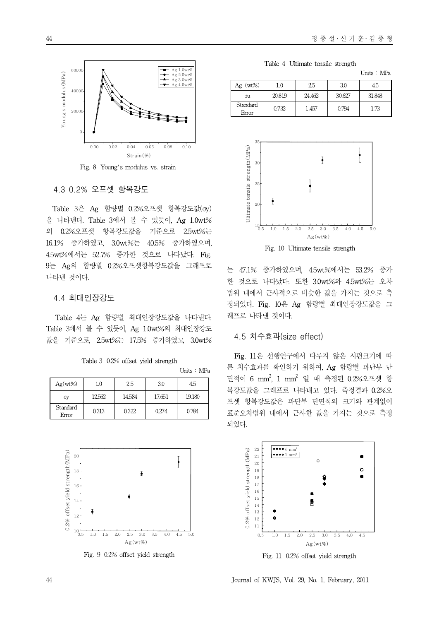

Fig. 8 Young's modulus vs. strain

#### 4.3 0.2% 오프셋 항복강도

Table 3은 Ag 함량별 0.2%오프셋 항복강도값(σy) 을 나타낸다. Table 3에서 볼 수 있듯이, Ag 1.0wt% 의 0.2%오프셋 항복강도값을 기준으로 2.5wt%는 16.1% 증가하였고, 3.0wt%는 40.5% 증가하였으며, 4.5wt%에서는 52.7% 증가한 것으로 나타났다. Fig. 9는 Ag의 함량별 0.2%오프셋항복강도값을 그래프로 나타낸 것이다.

#### 4.4 최대인장강도

Table 4는 Ag 함량별 최대인장강도값을 나타낸다. Table 3에서 볼 수 있듯이, Ag 1.0wt%의 최대인장강도 값을 기준으로, 2.5wt%는 17.5% 증가하였고, 3.0wt%

|  |  |  |  | Table 3 0.2% offset yield strength |  |
|--|--|--|--|------------------------------------|--|
|--|--|--|--|------------------------------------|--|

| Units | MPa |
|-------|-----|
|       |     |

| $Ag(wt\%)$        | 1.0    | 2.5    | 3.0    | 4.5    |
|-------------------|--------|--------|--------|--------|
| σy                | 12.562 | 14.584 | 17.651 | 19.180 |
| Standard<br>Error | 0.313  | 0.322  | 0.274  | 0.784  |



Fig. 9 0.2% offset yield strength

Table 4 Ultimate tensile strength

|                   |        |        |        | Units MPa |
|-------------------|--------|--------|--------|-----------|
| $Ag (wt\%)$       | 10     | 2.5    | 30     | 45        |
| σu                | 20.819 | 24.462 | 30.627 | 31.848    |
| Standard<br>Error | 0.732  | 1.457  | 0.794  | 1.73      |



Fig. 10 Ultimate tensile strength

는 47.1% 증가하였으며, 4.5wt%에서는 53.2% 증가 한 것으로 나타났다. 또한 3.0wt%와 4.5wt%는 오차 범위 내에서 근사적으로 비슷한 값을 가지는 것으로 측 정되었다. Fig. 10은 Ag 함량별 최대인장강도값을 그 래프로 나타낸 것이다.

#### 4.5 치수효과(size effect)

Fig. 11은 선행연구에서 다루지 않은 시편크기에 따 른 치수효과를 확인하기 위하여, Ag 함량별 파단부 단 면적이 6 mm<sup>2</sup>, 1 mm<sup>2</sup> 일 때 측정된 0.2%오프셋 항 복강도값을 그래프로 나타내고 있다. 측정결과 0.2%오 프셋 항복강도값은 파단부 단면적의 크기와 관계없이 표준오차범위 내에서 근사한 값을 가지는 것으로 측정 되었다.



44 Journal of KWJS, Vol. 29, No. 1, February, 2011